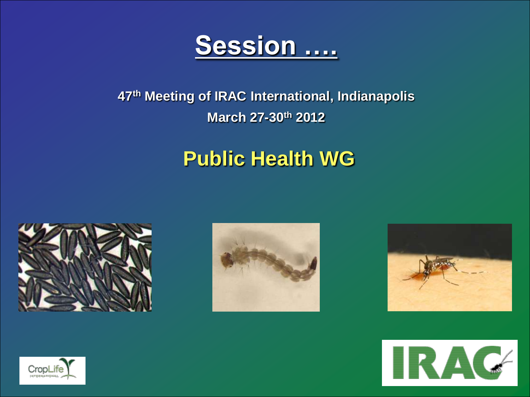

#### **47th Meeting of IRAC International, Indianapolis March 27-30th 2012**

## **Public Health WG**









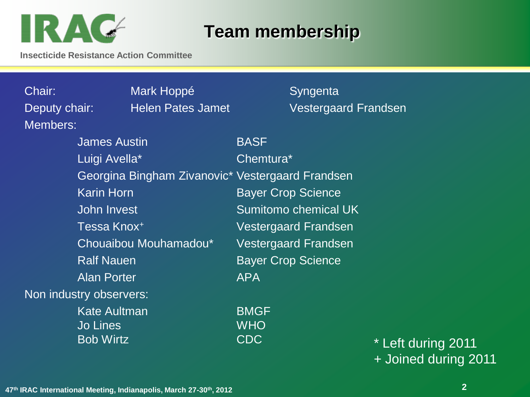# IRAC

### **Team membership**

**Insecticide Resistance Action Committee**

Members:

Chair: Mark Hoppé Syngenta

Deputy chair: Findlen Pates Jamet The Vestergaard Frandsen

James Austin BASF Luigi Avella<sup>\*</sup> Chemtura<sup>\*</sup> Georgina Bingham Zivanovic\* Vestergaard Frandsen Karin Horn **Bayer Crop Science** John Invest Sumitomo chemical UK Tessa Knox<sup>+</sup> Vestergaard Frandsen Chouaibou Mouhamadou\* Vestergaard Frandsen Ralf Nauen **Bayer Crop Science** Alan Porter **APA** Non industry observers: Kate Aultman BMGF

Jo Lines WHO

Bob Wirtz CDC \* Left during 2011 + Joined during 2011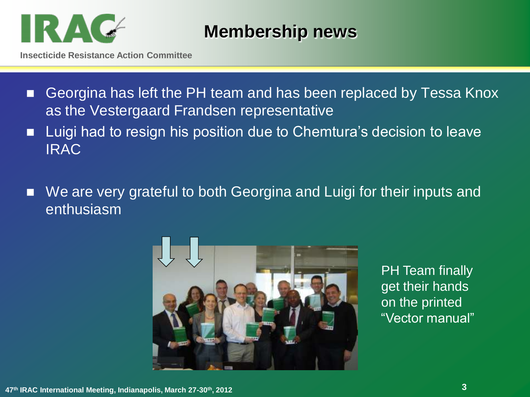

#### **Membership news**

**Insecticide Resistance Action Committee**

- Georgina has left the PH team and has been replaced by Tessa Knox as the Vestergaard Frandsen representative
- Luigi had to resign his position due to Chemtura's decision to leave IRAC
- We are very grateful to both Georgina and Luigi for their inputs and enthusiasm



PH Team finally get their hands on the printed "Vector manual"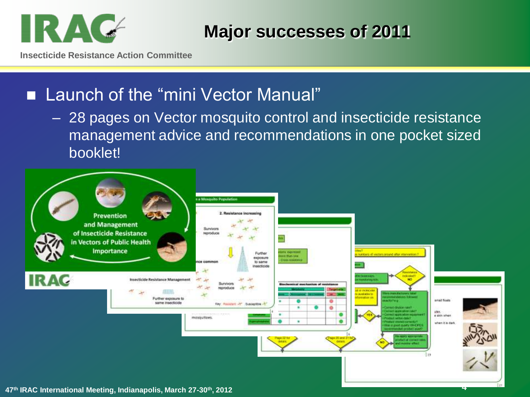

**Major successes of 2011**

**Insecticide Resistance Action Committee**

#### **Launch of the "mini Vector Manual"**

– 28 pages on Vector mosquito control and insecticide resistance management advice and recommendations in one pocket sized booklet!

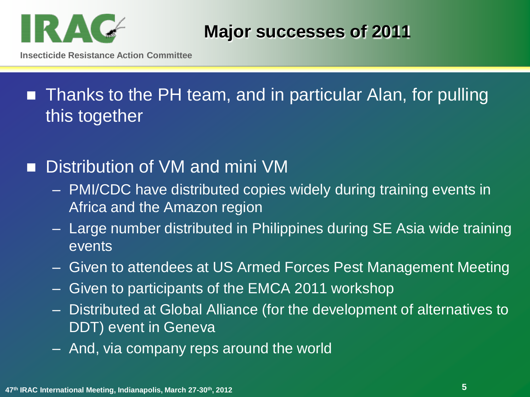

**Insecticide Resistance Action Committee**

## ■ Thanks to the PH team, and in particular Alan, for pulling this together

#### Distribution of VM and mini VM

- PMI/CDC have distributed copies widely during training events in Africa and the Amazon region
- Large number distributed in Philippines during SE Asia wide training events
- Given to attendees at US Armed Forces Pest Management Meeting
- Given to participants of the EMCA 2011 workshop
- Distributed at Global Alliance (for the development of alternatives to DDT) event in Geneva
- And, via company reps around the world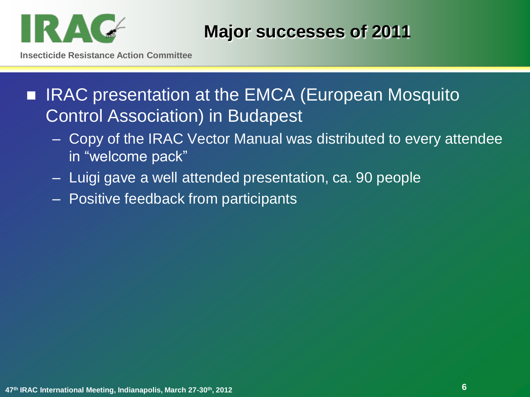

**Insecticide Resistance Action Committee**

■ IRAC presentation at the EMCA (European Mosquito Control Association) in Budapest

- Copy of the IRAC Vector Manual was distributed to every attendee in "welcome pack"
- Luigi gave a well attended presentation, ca. 90 people
- Positive feedback from participants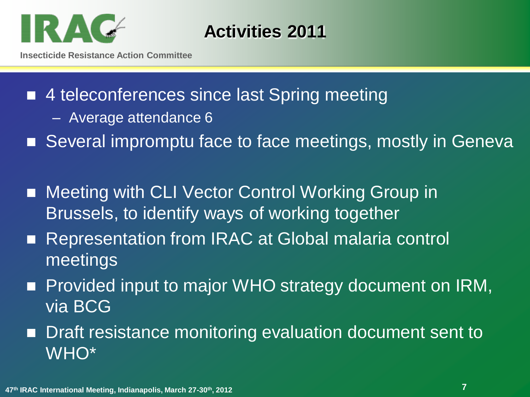

**Activities 2011**

- 4 teleconferences since last Spring meeting
	- Average attendance 6
- Several impromptu face to face meetings, mostly in Geneva
- Meeting with CLI Vector Control Working Group in Brussels, to identify ways of working together
- Representation from IRAC at Global malaria control meetings
- **Provided input to major WHO strategy document on IRM,** via BCG
- **Draft resistance monitoring evaluation document sent to** WHO\*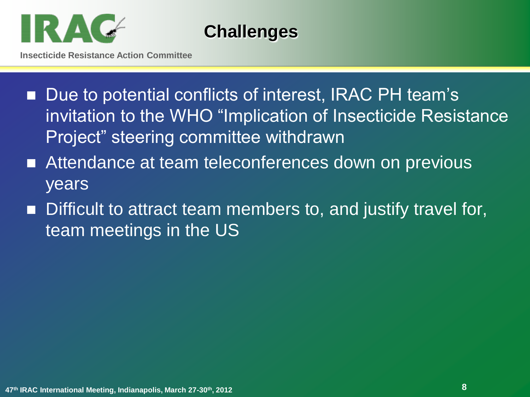

**Challenges** 

- Due to potential conflicts of interest, IRAC PH team's invitation to the WHO "Implication of Insecticide Resistance Project" steering committee withdrawn
- Attendance at team teleconferences down on previous years
- Difficult to attract team members to, and justify travel for, team meetings in the US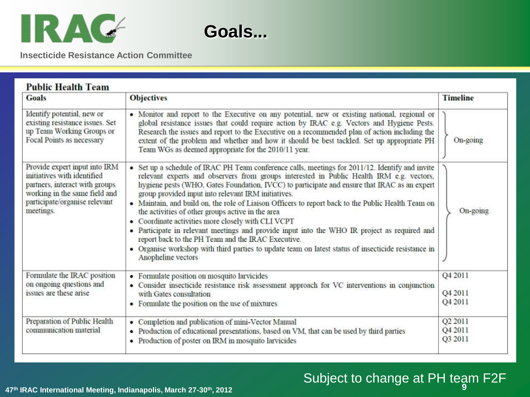



**Insecticide Resistance Action Committee**

| <b>Goals</b>                                                                                                                                                                  | <b>Objectives</b>                                                                                                                                                                                                                                                                                                                                                                                                                                                                                                                                                                                                                                                                                                                                                                                                                                      | <b>Timeline</b>               |
|-------------------------------------------------------------------------------------------------------------------------------------------------------------------------------|--------------------------------------------------------------------------------------------------------------------------------------------------------------------------------------------------------------------------------------------------------------------------------------------------------------------------------------------------------------------------------------------------------------------------------------------------------------------------------------------------------------------------------------------------------------------------------------------------------------------------------------------------------------------------------------------------------------------------------------------------------------------------------------------------------------------------------------------------------|-------------------------------|
| Identify potential, new or<br>existing resistance issues. Set<br>up Team Working Groups or<br>Focal Points as necessary                                                       | • Monitor and report to the Executive on any potential, new or existing national, regional or<br>global resistance issues that could require action by IRAC e.g. Vectors and Hygiene Pests.<br>Research the issues and report to the Executive on a recommended plan of action including the<br>extent of the problem and whether and how it should be best tackled. Set up appropriate PH<br>Team WGs as deemed appropriate for the 2010/11 year.                                                                                                                                                                                                                                                                                                                                                                                                     | On-going                      |
| Provide expert input into IRM<br>initiatives with identified<br>partners, interact with groups<br>working in the same field and<br>participate/organise relevant<br>meetings. | • Set up a schedule of IRAC PH Team conference calls, meetings for 2011/12. Identify and invite<br>relevant experts and observers from groups interested in Public Health IRM e.g. vectors,<br>hygiene pests (WHO, Gates Foundation, IVCC) to participate and ensure that IRAC as an expert<br>group provided input into relevant IRM initiatives.<br>• Maintain, and build on, the role of Liaison Officers to report back to the Public Health Team on<br>the activities of other groups active in the area<br>• Coordinate activities more closely with CLI VCPT<br>· Participate in relevant meetings and provide input into the WHO IR project as required and<br>report back to the PH Team and the IRAC Executive.<br>• Organise workshop with third parties to update team on latest status of insecticide resistance in<br>Anopheline vectors | On-going                      |
| Formulate the IRAC position<br>on ongoing questions and<br>issues are these arise                                                                                             | • Formulate position on mosquito larvicides<br>• Consider insecticide resistance risk assessment approach for VC interventions in conjunction<br>with Gates consultation<br>• Formulate the position on the use of mixtures                                                                                                                                                                                                                                                                                                                                                                                                                                                                                                                                                                                                                            | Q4 2011<br>Q4 2011<br>Q4 2011 |
| Preparation of Public Health<br>communication material                                                                                                                        | • Completion and publication of mini-Vector Manual<br>• Production of educational presentations, based on VM, that can be used by third parties<br>• Production of poster on IRM in mosquito larvicides                                                                                                                                                                                                                                                                                                                                                                                                                                                                                                                                                                                                                                                | Q2 2011<br>Q4 2011<br>Q3 2011 |

## Subject to change at PH team F2F

**9 <sup>47</sup>th IRAC International Meeting, Indianapolis, March 27-30th, 2012**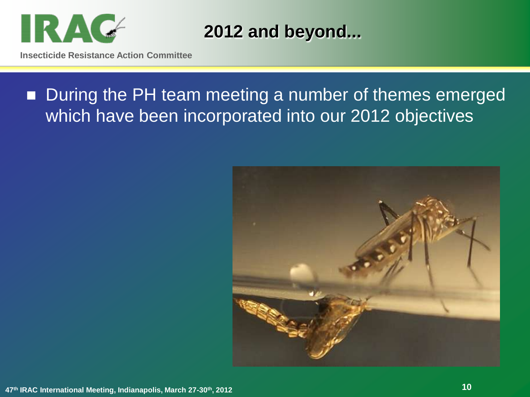

**2012 and beyond...**

## ■ During the PH team meeting a number of themes emerged which have been incorporated into our 2012 objectives

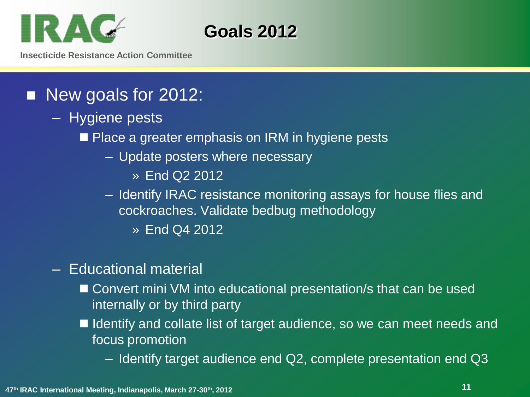

**Goals 2012**

**Insecticide Resistance Action Committee**

#### New goals for 2012:

- Hygiene pests
	- Place a greater emphasis on IRM in hygiene pests
		- Update posters where necessary
			- » End Q2 2012
		- Identify IRAC resistance monitoring assays for house flies and cockroaches. Validate bedbug methodology
			- » End Q4 2012
- Educational material
	- Convert mini VM into educational presentation/s that can be used internally or by third party
	- Identify and collate list of target audience, so we can meet needs and focus promotion
		- Identify target audience end Q2, complete presentation end Q3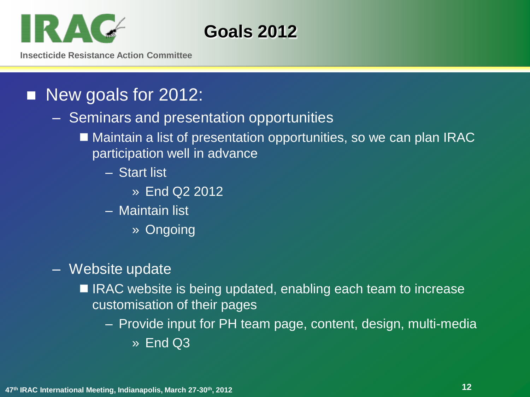

**Goals 2012**

**Insecticide Resistance Action Committee**

#### New goals for 2012:

#### – Seminars and presentation opportunities

- Maintain a list of presentation opportunities, so we can plan IRAC participation well in advance
	- Start list
		- » End Q2 2012
	- Maintain list
		- » Ongoing
- Website update
	- IRAC website is being updated, enabling each team to increase customisation of their pages
		- Provide input for PH team page, content, design, multi-media
			- » End Q3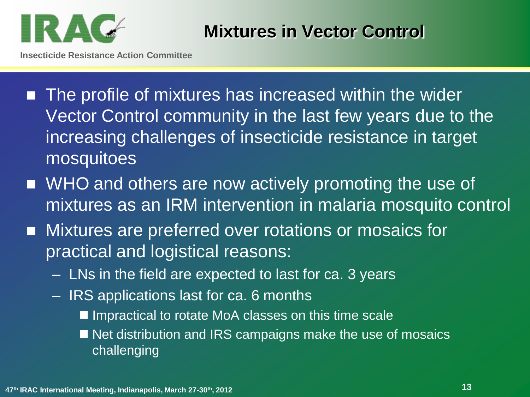

**Mixtures in Vector Control**

- The profile of mixtures has increased within the wider Vector Control community in the last few years due to the increasing challenges of insecticide resistance in target mosquitoes
- WHO and others are now actively promoting the use of mixtures as an IRM intervention in malaria mosquito control
- **Mixtures are preferred over rotations or mosaics for** practical and logistical reasons:
	- LNs in the field are expected to last for ca. 3 years
	- IRS applications last for ca. 6 months
		- Impractical to rotate MoA classes on this time scale
		- Net distribution and IRS campaigns make the use of mosaics challenging